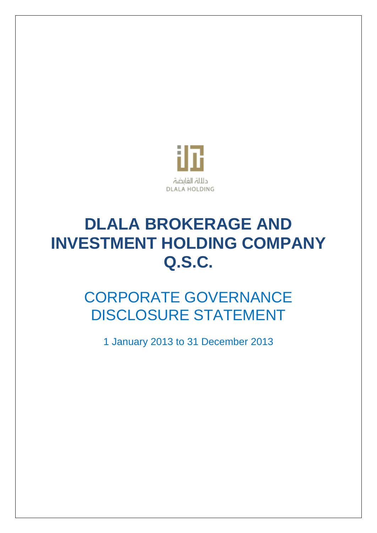

# **DLALA BROKERAGE AND INVESTMENT HOLDING COMPANY Q.S.C.**

# CORPORATE GOVERNANCE DISCLOSURE STATEMENT

1 January 2013 to 31 December 2013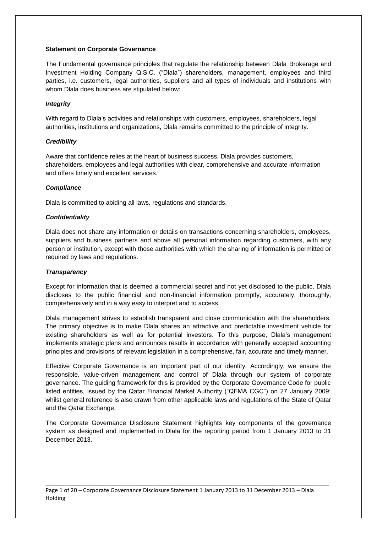#### **Statement on Corporate Governance**

The Fundamental governance principles that regulate the relationship between Dlala Brokerage and Investment Holding Company Q.S.C. ("Dlala") shareholders, management, employees and third parties, i.e. customers, legal authorities, suppliers and all types of individuals and institutions with whom Dlala does business are stipulated below:

#### *Integrity*

With regard to Dlala's activities and relationships with customers, employees, shareholders, legal authorities, institutions and organizations, Dlala remains committed to the principle of integrity.

#### *Credibility*

Aware that confidence relies at the heart of business success, Dlala provides customers, shareholders, employees and legal authorities with clear, comprehensive and accurate information and offers timely and excellent services.

#### *Compliance*

Dlala is committed to abiding all laws, regulations and standards.

#### *Confidentiality*

Dlala does not share any information or details on transactions concerning shareholders, employees, suppliers and business partners and above all personal information regarding customers, with any person or institution, except with those authorities with which the sharing of information is permitted or required by laws and regulations.

#### *Transparency*

Except for information that is deemed a commercial secret and not yet disclosed to the public, Dlala discloses to the public financial and non-financial information promptly, accurately, thoroughly, comprehensively and in a way easy to interpret and to access.

Dlala management strives to establish transparent and close communication with the shareholders. The primary objective is to make Dlala shares an attractive and predictable investment vehicle for existing shareholders as well as for potential investors. To this purpose, Dlala's management implements strategic plans and announces results in accordance with generally accepted accounting principles and provisions of relevant legislation in a comprehensive, fair, accurate and timely manner.

Effective Corporate Governance is an important part of our identity. Accordingly, we ensure the responsible, value-driven management and control of Dlala through our system of corporate governance. The guiding framework for this is provided by the Corporate Governance Code for public listed entities, issued by the Qatar Financial Market Authority ("QFMA CGC") on 27 January 2009; whilst general reference is also drawn from other applicable laws and regulations of the State of Qatar and the Qatar Exchange.

The Corporate Governance Disclosure Statement highlights key components of the governance system as designed and implemented in Dlala for the reporting period from 1 January 2013 to 31 December 2013.

Page 1 of 20 – Corporate Governance Disclosure Statement 1 January 2013 to 31 December 2013 – Dlala Holding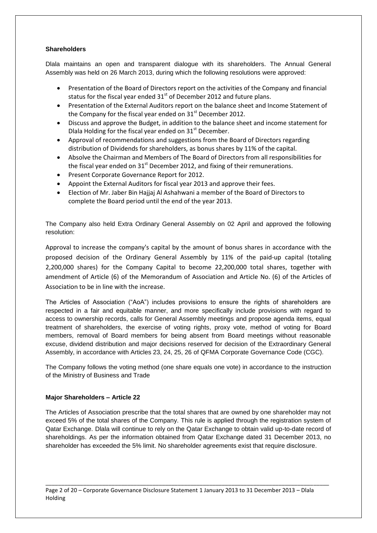#### **Shareholders**

Dlala maintains an open and transparent dialogue with its shareholders. The Annual General Assembly was held on 26 March 2013, during which the following resolutions were approved:

- Presentation of the Board of Directors report on the activities of the Company and financial status for the fiscal year ended  $31<sup>st</sup>$  of December 2012 and future plans.
- Presentation of the External Auditors report on the balance sheet and Income Statement of the Company for the fiscal year ended on  $31<sup>st</sup>$  December 2012.
- Discuss and approve the Budget, in addition to the balance sheet and income statement for Dlala Holding for the fiscal year ended on 31<sup>st</sup> December.
- Approval of recommendations and suggestions from the Board of Directors regarding distribution of Dividends for shareholders, as bonus shares by 11% of the capital.
- Absolve the Chairman and Members of The Board of Directors from all responsibilities for the fiscal year ended on  $31<sup>st</sup>$  December 2012, and fixing of their remunerations.
- Present Corporate Governance Report for 2012.
- Appoint the External Auditors for fiscal year 2013 and approve their fees.
- Election of Mr. Jaber Bin Hajjaj Al Ashahwani a member of the Board of Directors to complete the Board period until the end of the year 2013.

The Company also held Extra Ordinary General Assembly on 02 April and approved the following resolution:

Approval to increase the company's capital by the amount of bonus shares in accordance with the proposed decision of the Ordinary General Assembly by 11% of the paid-up capital (totaling 2,200,000 shares) for the Company Capital to become 22,200,000 total shares, together with amendment of Article (6) of the Memorandum of Association and Article No. (6) of the Articles of Association to be in line with the increase.

The Articles of Association ("AoA") includes provisions to ensure the rights of shareholders are respected in a fair and equitable manner, and more specifically include provisions with regard to access to ownership records, calls for General Assembly meetings and propose agenda items, equal treatment of shareholders, the exercise of voting rights, proxy vote, method of voting for Board members, removal of Board members for being absent from Board meetings without reasonable excuse, dividend distribution and major decisions reserved for decision of the Extraordinary General Assembly, in accordance with Articles 23, 24, 25, 26 of QFMA Corporate Governance Code (CGC).

The Company follows the voting method (one share equals one vote) in accordance to the instruction of the Ministry of Business and Trade

#### **Major Shareholders – Article 22**

The Articles of Association prescribe that the total shares that are owned by one shareholder may not exceed 5% of the total shares of the Company. This rule is applied through the registration system of Qatar Exchange. Dlala will continue to rely on the Qatar Exchange to obtain valid up-to-date record of shareholdings. As per the information obtained from Qatar Exchange dated 31 December 2013, no shareholder has exceeded the 5% limit. No shareholder agreements exist that require disclosure.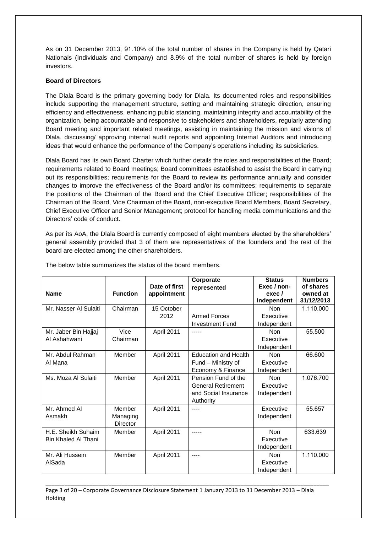As on 31 December 2013, 91.10% of the total number of shares in the Company is held by Qatari Nationals (Individuals and Company) and 8.9% of the total number of shares is held by foreign investors.

#### **Board of Directors**

The Dlala Board is the primary governing body for Dlala. Its documented roles and responsibilities include supporting the management structure, setting and maintaining strategic direction, ensuring efficiency and effectiveness, enhancing public standing, maintaining integrity and accountability of the organization, being accountable and responsive to stakeholders and shareholders, regularly attending Board meeting and important related meetings, assisting in maintaining the mission and visions of Dlala, discussing/ approving internal audit reports and appointing Internal Auditors and introducing ideas that would enhance the performance of the Company's operations including its subsidiaries.

Dlala Board has its own Board Charter which further details the roles and responsibilities of the Board; requirements related to Board meetings; Board committees established to assist the Board in carrying out its responsibilities; requirements for the Board to review its performance annually and consider changes to improve the effectiveness of the Board and/or its committees; requirements to separate the positions of the Chairman of the Board and the Chief Executive Officer; responsibilities of the Chairman of the Board, Vice Chairman of the Board, non-executive Board Members, Board Secretary, Chief Executive Officer and Senior Management; protocol for handling media communications and the Directors' code of conduct.

As per its AoA, the Dlala Board is currently composed of eight members elected by the shareholders' general assembly provided that 3 of them are representatives of the founders and the rest of the board are elected among the other shareholders.

| <b>Name</b>            | <b>Function</b>                | Date of first<br>appointment | Corporate<br>represented          | <b>Status</b><br>Exec / non-<br>exec /<br>Independent | <b>Numbers</b><br>of shares<br>owned at<br>31/12/2013 |
|------------------------|--------------------------------|------------------------------|-----------------------------------|-------------------------------------------------------|-------------------------------------------------------|
| Mr. Nasser Al Sulaiti  | Chairman                       | 15 October<br>2012           | <b>Armed Forces</b>               | <b>Non</b><br>Executive                               | 1.110.000                                             |
|                        |                                |                              | <b>Investment Fund</b>            | Independent                                           |                                                       |
| Mr. Jaber Bin Hajjaj   | Vice                           | April 2011                   | $- - - - -$                       | <b>Non</b>                                            | 55.500                                                |
| Al Ashahwani           | Chairman                       |                              |                                   | Executive                                             |                                                       |
|                        |                                |                              |                                   | Independent                                           |                                                       |
| Mr. Abdul Rahman       | Member                         | April 2011                   | <b>Education and Health</b>       | <b>Non</b>                                            | 66.600                                                |
| Al Mana                |                                |                              | Fund - Ministry of                | Executive                                             |                                                       |
|                        |                                |                              | Economy & Finance                 | Independent                                           |                                                       |
| Ms. Moza Al Sulaiti    | Member                         | April 2011                   | Pension Fund of the               | <b>Non</b>                                            | 1.076.700                                             |
|                        |                                |                              | <b>General Retirement</b>         | Executive                                             |                                                       |
|                        |                                |                              | and Social Insurance<br>Authority | Independent                                           |                                                       |
| Mr. Ahmed Al<br>Asmakh | Member<br>Managing<br>Director | April 2011                   | $---$                             | Executive<br>Independent                              | 55.657                                                |
| H.E. Sheikh Suhaim     | Member                         | April 2011                   | $--- - -$                         | <b>Non</b>                                            | 633.639                                               |
| Bin Khaled Al Thani    |                                |                              |                                   | Executive                                             |                                                       |
|                        |                                |                              |                                   | Independent                                           |                                                       |
| Mr. Ali Hussein        | Member                         | April 2011                   | $---$                             | <b>Non</b>                                            | 1.110.000                                             |
| AlSada                 |                                |                              |                                   | Executive                                             |                                                       |
|                        |                                |                              |                                   | Independent                                           |                                                       |

The below table summarizes the status of the board members.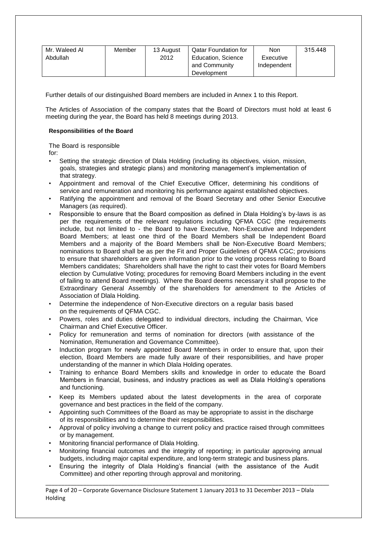| Mr. Waleed Al | Member | 13 August | Qatar Foundation for | Non         | 315.448 |
|---------------|--------|-----------|----------------------|-------------|---------|
| Abdullah      |        | 2012      | Education, Science   | Executive   |         |
|               |        |           | and Community        | Independent |         |
|               |        |           | Development          |             |         |

Further details of our distinguished Board members are included in Annex 1 to this Report.

The Articles of Association of the company states that the Board of Directors must hold at least 6 meeting during the year, the Board has held 8 meetings during 2013.

#### **Responsibilities of the Board**

The Board is responsible

for:

- Setting the strategic direction of Dlala Holding (including its objectives, vision, mission, goals, strategies and strategic plans) and monitoring management's implementation of that strategy.
- Appointment and removal of the Chief Executive Officer, determining his conditions of service and remuneration and monitoring his performance against established objectives.
- Ratifying the appointment and removal of the Board Secretary and other Senior Executive Managers (as required).
- Responsible to ensure that the Board composition as defined in Dlala Holding's by-laws is as per the requirements of the relevant regulations including QFMA CGC (the requirements include, but not limited to - the Board to have Executive, Non-Executive and Independent Board Members; at least one third of the Board Members shall be Independent Board Members and a majority of the Board Members shall be Non-Executive Board Members; nominations to Board shall be as per the Fit and Proper Guidelines of QFMA CGC; provisions to ensure that shareholders are given information prior to the voting process relating to Board Members candidates; Shareholders shall have the right to cast their votes for Board Members election by Cumulative Voting; procedures for removing Board Members including in the event of failing to attend Board meetings). Where the Board deems necessary it shall propose to the Extraordinary General Assembly of the shareholders for amendment to the Articles of Association of Dlala Holding.
- Determine the independence of Non-Executive directors on a regular basis based on the requirements of QFMA CGC.
- Powers, roles and duties delegated to individual directors, including the Chairman, Vice Chairman and Chief Executive Officer.
- Policy for remuneration and terms of nomination for directors (with assistance of the Nomination, Remuneration and Governance Committee).
- Induction program for newly appointed Board Members in order to ensure that, upon their election, Board Members are made fully aware of their responsibilities, and have proper understanding of the manner in which Dlala Holding operates.
- Training to enhance Board Members skills and knowledge in order to educate the Board Members in financial, business, and industry practices as well as Dlala Holding's operations and functioning.
- Keep its Members updated about the latest developments in the area of corporate governance and best practices in the field of the company.
- Appointing such Committees of the Board as may be appropriate to assist in the discharge of its responsibilities and to determine their responsibilities.
- Approval of policy involving a change to current policy and practice raised through committees or by management.
- Monitoring financial performance of Dlala Holding.
- Monitoring financial outcomes and the integrity of reporting; in particular approving annual budgets, including major capital expenditure, and long-term strategic and business plans.
- Ensuring the integrity of Dlala Holding's financial (with the assistance of the Audit Committee) and other reporting through approval and monitoring.

Page 4 of 20 – Corporate Governance Disclosure Statement 1 January 2013 to 31 December 2013 – Dlala Holding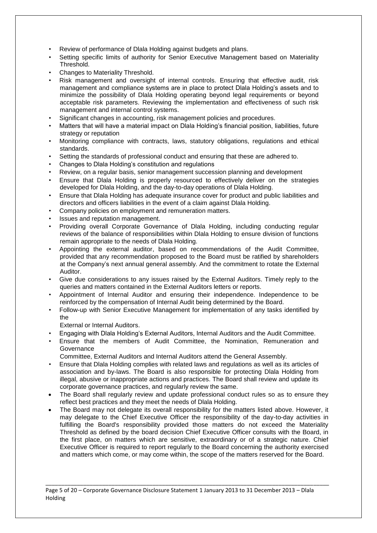- Review of performance of Dlala Holding against budgets and plans.
- Setting specific limits of authority for Senior Executive Management based on Materiality Threshold.
- Changes to Materiality Threshold.
- Risk management and oversight of internal controls. Ensuring that effective audit, risk management and compliance systems are in place to protect Dlala Holding's assets and to minimize the possibility of Dlala Holding operating beyond legal requirements or beyond acceptable risk parameters. Reviewing the implementation and effectiveness of such risk management and internal control systems.
- Significant changes in accounting, risk management policies and procedures.
- Matters that will have a material impact on Dlala Holding's financial position, liabilities, future strategy or reputation
- Monitoring compliance with contracts, laws, statutory obligations, regulations and ethical standards.
- Setting the standards of professional conduct and ensuring that these are adhered to.
- Changes to Dlala Holding's constitution and regulations
- Review, on a regular basis, senior management succession planning and development
- Ensure that Dlala Holding is properly resourced to effectively deliver on the strategies developed for Dlala Holding, and the day-to-day operations of Dlala Holding.
- Ensure that Dlala Holding has adequate insurance cover for product and public liabilities and directors and officers liabilities in the event of a claim against Dlala Holding.
- Company policies on employment and remuneration matters.
- Issues and reputation management.
- Providing overall Corporate Governance of Dlala Holding, including conducting regular reviews of the balance of responsibilities within Dlala Holding to ensure division of functions remain appropriate to the needs of Dlala Holding.
- Appointing the external auditor, based on recommendations of the Audit Committee, provided that any recommendation proposed to the Board must be ratified by shareholders at the Company's next annual general assembly. And the commitment to rotate the External Auditor.
- Give due considerations to any issues raised by the External Auditors. Timely reply to the queries and matters contained in the External Auditors letters or reports.
- Appointment of Internal Auditor and ensuring their independence. Independence to be reinforced by the compensation of Internal Audit being determined by the Board.
- Follow-up with Senior Executive Management for implementation of any tasks identified by the

External or Internal Auditors.

- Engaging with Dlala Holding's External Auditors, Internal Auditors and the Audit Committee.
- Ensure that the members of Audit Committee, the Nomination, Remuneration and **Governance**
- Committee, External Auditors and Internal Auditors attend the General Assembly.
- Ensure that Dlala Holding complies with related laws and regulations as well as its articles of association and by-laws. The Board is also responsible for protecting Dlala Holding from illegal, abusive or inappropriate actions and practices. The Board shall review and update its corporate governance practices, and regularly review the same.
- The Board shall regularly review and update professional conduct rules so as to ensure they reflect best practices and they meet the needs of Dlala Holding.
- The Board may not delegate its overall responsibility for the matters listed above. However, it may delegate to the Chief Executive Officer the responsibility of the day-to-day activities in fulfilling the Board's responsibility provided those matters do not exceed the Materiality Threshold as defined by the board decision Chief Executive Officer consults with the Board, in the first place, on matters which are sensitive, extraordinary or of a strategic nature. Chief Executive Officer is required to report regularly to the Board concerning the authority exercised and matters which come, or may come within, the scope of the matters reserved for the Board.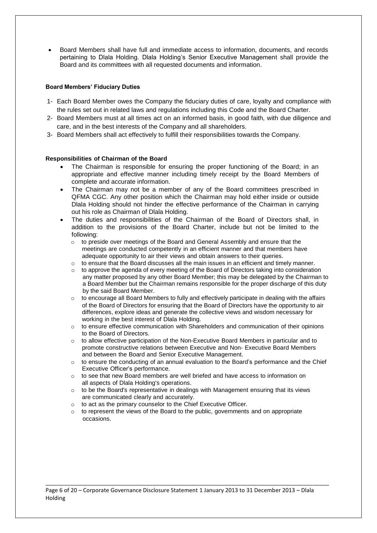Board Members shall have full and immediate access to information, documents, and records pertaining to Dlala Holding. Dlala Holding's Senior Executive Management shall provide the Board and its committees with all requested documents and information.

#### **Board Members' Fiduciary Duties**

- 1- Each Board Member owes the Company the fiduciary duties of care, loyalty and compliance with the rules set out in related laws and regulations including this Code and the Board Charter.
- 2- Board Members must at all times act on an informed basis, in good faith, with due diligence and care, and in the best interests of the Company and all shareholders.
- 3- Board Members shall act effectively to fulfill their responsibilities towards the Company.

#### **Responsibilities of Chairman of the Board**

- The Chairman is responsible for ensuring the proper functioning of the Board; in an appropriate and effective manner including timely receipt by the Board Members of complete and accurate information.
- The Chairman may not be a member of any of the Board committees prescribed in QFMA CGC. Any other position which the Chairman may hold either inside or outside Dlala Holding should not hinder the effective performance of the Chairman in carrying out his role as Chairman of Dlala Holding.
- The duties and responsibilities of the Chairman of the Board of Directors shall, in addition to the provisions of the Board Charter, include but not be limited to the following:
	- $\circ$  to preside over meetings of the Board and General Assembly and ensure that the meetings are conducted competently in an efficient manner and that members have adequate opportunity to air their views and obtain answers to their queries.
	- $\circ$  to ensure that the Board discusses all the main issues in an efficient and timely manner.
	- $\circ$  to approve the agenda of every meeting of the Board of Directors taking into consideration any matter proposed by any other Board Member; this may be delegated by the Chairman to a Board Member but the Chairman remains responsible for the proper discharge of this duty by the said Board Member.
	- $\circ$  to encourage all Board Members to fully and effectively participate in dealing with the affairs of the Board of Directors for ensuring that the Board of Directors have the opportunity to air differences, explore ideas and generate the collective views and wisdom necessary for working in the best interest of Dlala Holding.
	- o to ensure effective communication with Shareholders and communication of their opinions to the Board of Directors.
	- $\circ$  to allow effective participation of the Non-Executive Board Members in particular and to promote constructive relations between Executive and Non- Executive Board Members and between the Board and Senior Executive Management.
	- $\circ$  to ensure the conducting of an annual evaluation to the Board's performance and the Chief Executive Officer's performance.
	- $\circ$  to see that new Board members are well briefed and have access to information on all aspects of Dlala Holding's operations.
	- $\circ$  to be the Board's representative in dealings with Management ensuring that its views are communicated clearly and accurately.
	- o to act as the primary counselor to the Chief Executive Officer.
	- o to represent the views of the Board to the public, governments and on appropriate occasions.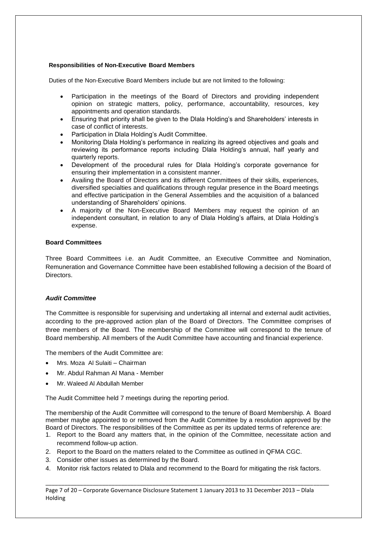#### **Responsibilities of Non-Executive Board Members**

Duties of the Non-Executive Board Members include but are not limited to the following:

- Participation in the meetings of the Board of Directors and providing independent opinion on strategic matters, policy, performance, accountability, resources, key appointments and operation standards.
- Ensuring that priority shall be given to the Dlala Holding's and Shareholders' interests in case of conflict of interests.
- Participation in Dlala Holding's Audit Committee.
- Monitoring Dlala Holding's performance in realizing its agreed objectives and goals and reviewing its performance reports including Dlala Holding's annual, half yearly and quarterly reports.
- Development of the procedural rules for Dlala Holding's corporate governance for ensuring their implementation in a consistent manner.
- Availing the Board of Directors and its different Committees of their skills, experiences, diversified specialties and qualifications through regular presence in the Board meetings and effective participation in the General Assemblies and the acquisition of a balanced understanding of Shareholders' opinions.
- A majority of the Non-Executive Board Members may request the opinion of an independent consultant, in relation to any of Dlala Holding's affairs, at Dlala Holding's expense.

#### **Board Committees**

Three Board Committees i.e. an Audit Committee, an Executive Committee and Nomination, Remuneration and Governance Committee have been established following a decision of the Board of **Directors** 

#### *Audit Committee*

The Committee is responsible for supervising and undertaking all internal and external audit activities, according to the pre-approved action plan of the Board of Directors. The Committee comprises of three members of the Board. The membership of the Committee will correspond to the tenure of Board membership. All members of the Audit Committee have accounting and financial experience.

The members of the Audit Committee are:

- Mrs. Moza Al Sulaiti Chairman
- Mr. Abdul Rahman Al Mana Member
- Mr. Waleed Al Abdullah Member

The Audit Committee held 7 meetings during the reporting period.

The membership of the Audit Committee will correspond to the tenure of Board Membership. A Board member maybe appointed to or removed from the Audit Committee by a resolution approved by the Board of Directors. The responsibilities of the Committee as per its updated terms of reference are:

- 1. Report to the Board any matters that, in the opinion of the Committee, necessitate action and recommend follow-up action.
- 2. Report to the Board on the matters related to the Committee as outlined in QFMA CGC.
- 3. Consider other issues as determined by the Board.
- 4. Monitor risk factors related to Dlala and recommend to the Board for mitigating the risk factors.

\_\_\_\_\_\_\_\_\_\_\_\_\_\_\_\_\_\_\_\_\_\_\_\_\_\_\_\_\_\_\_\_\_\_\_\_\_\_\_\_\_\_\_\_\_\_\_\_\_\_\_\_\_\_\_\_\_\_\_\_\_\_\_\_\_\_\_\_\_\_\_\_\_\_\_\_\_\_\_\_\_\_\_\_\_\_\_\_\_\_

Page 7 of 20 – Corporate Governance Disclosure Statement 1 January 2013 to 31 December 2013 – Dlala Holding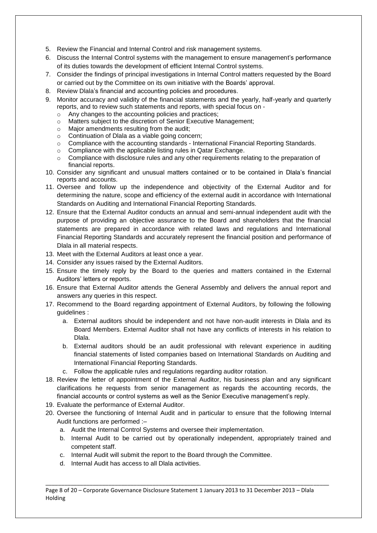- 5. Review the Financial and Internal Control and risk management systems.
- 6. Discuss the Internal Control systems with the management to ensure management's performance of its duties towards the development of efficient Internal Control systems.
- 7. Consider the findings of principal investigations in Internal Control matters requested by the Board or carried out by the Committee on its own initiative with the Boards' approval.
- 8. Review Dlala's financial and accounting policies and procedures.
- 9. Monitor accuracy and validity of the financial statements and the yearly, half-yearly and quarterly reports, and to review such statements and reports, with special focus on
	- o Any changes to the accounting policies and practices;
	- o Matters subject to the discretion of Senior Executive Management;
	- o Major amendments resulting from the audit;
	- o Continuation of Dlala as a viable going concern;
	- $\circ$  Compliance with the accounting standards International Financial Reporting Standards.
	- o Compliance with the applicable listing rules in Qatar Exchange.
	- $\circ$  Compliance with disclosure rules and any other requirements relating to the preparation of financial reports.
- 10. Consider any significant and unusual matters contained or to be contained in Dlala's financial reports and accounts.
- 11. Oversee and follow up the independence and objectivity of the External Auditor and for determining the nature, scope and efficiency of the external audit in accordance with International Standards on Auditing and International Financial Reporting Standards.
- 12. Ensure that the External Auditor conducts an annual and semi-annual independent audit with the purpose of providing an objective assurance to the Board and shareholders that the financial statements are prepared in accordance with related laws and regulations and International Financial Reporting Standards and accurately represent the financial position and performance of Dlala in all material respects.
- 13. Meet with the External Auditors at least once a year.
- 14. Consider any issues raised by the External Auditors.
- 15. Ensure the timely reply by the Board to the queries and matters contained in the External Auditors' letters or reports.
- 16. Ensure that External Auditor attends the General Assembly and delivers the annual report and answers any queries in this respect.
- 17. Recommend to the Board regarding appointment of External Auditors, by following the following guidelines :
	- a. External auditors should be independent and not have non-audit interests in Dlala and its Board Members. External Auditor shall not have any conflicts of interests in his relation to Dlala.
	- b. External auditors should be an audit professional with relevant experience in auditing financial statements of listed companies based on International Standards on Auditing and International Financial Reporting Standards.
	- c. Follow the applicable rules and regulations regarding auditor rotation.
- 18. Review the letter of appointment of the External Auditor, his business plan and any significant clarifications he requests from senior management as regards the accounting records, the financial accounts or control systems as well as the Senior Executive management's reply.
- 19. Evaluate the performance of External Auditor.
- 20. Oversee the functioning of Internal Audit and in particular to ensure that the following Internal Audit functions are performed :–
	- a. Audit the Internal Control Systems and oversee their implementation.
	- b. Internal Audit to be carried out by operationally independent, appropriately trained and competent staff.
	- c. Internal Audit will submit the report to the Board through the Committee.
	- d. Internal Audit has access to all Dlala activities.

\_\_\_\_\_\_\_\_\_\_\_\_\_\_\_\_\_\_\_\_\_\_\_\_\_\_\_\_\_\_\_\_\_\_\_\_\_\_\_\_\_\_\_\_\_\_\_\_\_\_\_\_\_\_\_\_\_\_\_\_\_\_\_\_\_\_\_\_\_\_\_\_\_\_\_\_\_\_\_\_\_\_\_\_\_\_\_\_\_\_ Page 8 of 20 – Corporate Governance Disclosure Statement 1 January 2013 to 31 December 2013 – Dlala Holding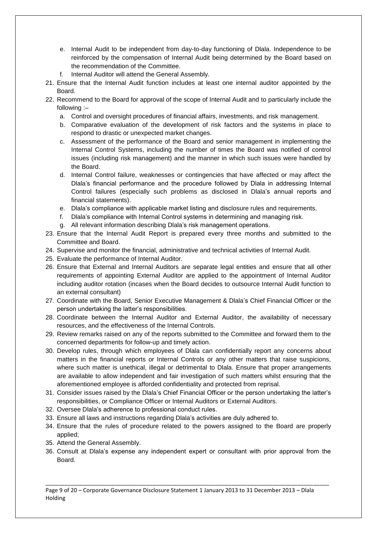- e. Internal Audit to be independent from day-to-day functioning of Dlala. Independence to be reinforced by the compensation of Internal Audit being determined by the Board based on the recommendation of the Committee.
- Internal Auditor will attend the General Assembly.
- 21. Ensure that the Internal Audit function includes at least one internal auditor appointed by the **Board**
- 22. Recommend to the Board for approval of the scope of Internal Audit and to particularly include the following :–
	- a. Control and oversight procedures of financial affairs, investments, and risk management.
	- b. Comparative evaluation of the development of risk factors and the systems in place to respond to drastic or unexpected market changes.
	- c. Assessment of the performance of the Board and senior management in implementing the Internal Control Systems, including the number of times the Board was notified of control issues (including risk management) and the manner in which such issues were handled by the Board.
	- d. Internal Control failure, weaknesses or contingencies that have affected or may affect the Dlala's financial performance and the procedure followed by Dlala in addressing Internal Control failures (especially such problems as disclosed in Dlala's annual reports and financial statements).
	- e. Dlala's compliance with applicable market listing and disclosure rules and requirements.
	- f. Dlala's compliance with Internal Control systems in determining and managing risk.
	- g. All relevant information describing Dlala's risk management operations.
- 23. Ensure that the Internal Audit Report is prepared every three months and submitted to the Committee and Board.
- 24. Supervise and monitor the financial, administrative and technical activities of Internal Audit.
- 25. Evaluate the performance of Internal Auditor.
- 26. Ensure that External and Internal Auditors are separate legal entities and ensure that all other requirements of appointing External Auditor are applied to the appointment of Internal Auditor including auditor rotation (incases when the Board decides to outsource Internal Audit function to an external consultant)
- 27. Coordinate with the Board, Senior Executive Management & Dlala's Chief Financial Officer or the person undertaking the latter's responsibilities.
- 28. Coordinate between the Internal Auditor and External Auditor, the availability of necessary resources, and the effectiveness of the Internal Controls.
- 29. Review remarks raised on any of the reports submitted to the Committee and forward them to the concerned departments for follow-up and timely action.
- 30. Develop rules, through which employees of Dlala can confidentially report any concerns about matters in the financial reports or Internal Controls or any other matters that raise suspicions, where such matter is unethical, illegal or detrimental to Dlala. Ensure that proper arrangements are available to allow independent and fair investigation of such matters whilst ensuring that the aforementioned employee is afforded confidentiality and protected from reprisal.
- 31. Consider issues raised by the Dlala's Chief Financial Officer or the person undertaking the latter's responsibilities, or Compliance Officer or Internal Auditors or External Auditors.
- 32. Oversee Dlala's adherence to professional conduct rules.
- 33. Ensure all laws and instructions regarding Dlala's activities are duly adhered to.
- 34. Ensure that the rules of procedure related to the powers assigned to the Board are properly applied;
- 35. Attend the General Assembly.
- 36. Consult at Dlala's expense any independent expert or consultant with prior approval from the Board.

\_\_\_\_\_\_\_\_\_\_\_\_\_\_\_\_\_\_\_\_\_\_\_\_\_\_\_\_\_\_\_\_\_\_\_\_\_\_\_\_\_\_\_\_\_\_\_\_\_\_\_\_\_\_\_\_\_\_\_\_\_\_\_\_\_\_\_\_\_\_\_\_\_\_\_\_\_\_\_\_\_\_\_\_\_\_\_\_\_\_

Page 9 of 20 – Corporate Governance Disclosure Statement 1 January 2013 to 31 December 2013 – Dlala Holding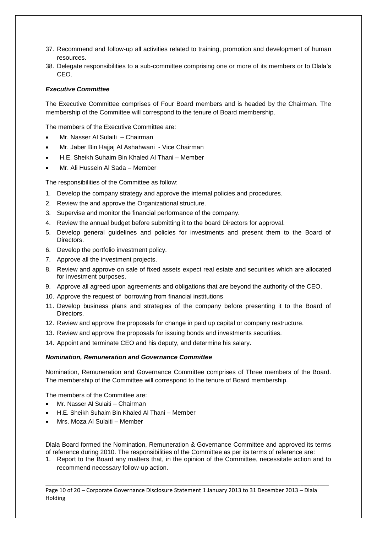- 37. Recommend and follow-up all activities related to training, promotion and development of human resources.
- 38. Delegate responsibilities to a sub-committee comprising one or more of its members or to Dlala's CEO.

#### *Executive Committee*

The Executive Committee comprises of Four Board members and is headed by the Chairman. The membership of the Committee will correspond to the tenure of Board membership.

The members of the Executive Committee are:

- Mr. Nasser Al Sulaiti Chairman
- Mr. Jaber Bin Hajjaj Al Ashahwani Vice Chairman
- H.E. Sheikh Suhaim Bin Khaled Al Thani Member
- Mr. Ali Hussein Al Sada Member

The responsibilities of the Committee as follow:

- 1. Develop the company strategy and approve the internal policies and procedures.
- 2. Review the and approve the Organizational structure.
- 3. Supervise and monitor the financial performance of the company.
- 4. Review the annual budget before submitting it to the board Directors for approval.
- 5. Develop general guidelines and policies for investments and present them to the Board of Directors.
- 6. Develop the portfolio investment policy.
- 7. Approve all the investment projects.
- 8. Review and approve on sale of fixed assets expect real estate and securities which are allocated for investment purposes.
- 9. Approve all agreed upon agreements and obligations that are beyond the authority of the CEO.
- 10. Approve the request of borrowing from financial institutions
- 11. Develop business plans and strategies of the company before presenting it to the Board of Directors.
- 12. Review and approve the proposals for change in paid up capital or company restructure.
- 13. Review and approve the proposals for issuing bonds and investments securities.
- 14. Appoint and terminate CEO and his deputy, and determine his salary.

#### *Nomination, Remuneration and Governance Committee*

Nomination, Remuneration and Governance Committee comprises of Three members of the Board. The membership of the Committee will correspond to the tenure of Board membership.

The members of the Committee are:

- Mr. Nasser Al Sulaiti Chairman
- H.E. Sheikh Suhaim Bin Khaled Al Thani Member
- Mrs. Moza Al Sulaiti Member

Dlala Board formed the Nomination, Remuneration & Governance Committee and approved its terms of reference during 2010. The responsibilities of the Committee as per its terms of reference are:

1. Report to the Board any matters that, in the opinion of the Committee, necessitate action and to recommend necessary follow-up action.

\_\_\_\_\_\_\_\_\_\_\_\_\_\_\_\_\_\_\_\_\_\_\_\_\_\_\_\_\_\_\_\_\_\_\_\_\_\_\_\_\_\_\_\_\_\_\_\_\_\_\_\_\_\_\_\_\_\_\_\_\_\_\_\_\_\_\_\_\_\_\_\_\_\_\_\_\_\_\_\_\_\_\_\_\_\_\_\_\_\_

Page 10 of 20 – Corporate Governance Disclosure Statement 1 January 2013 to 31 December 2013 – Dlala Holding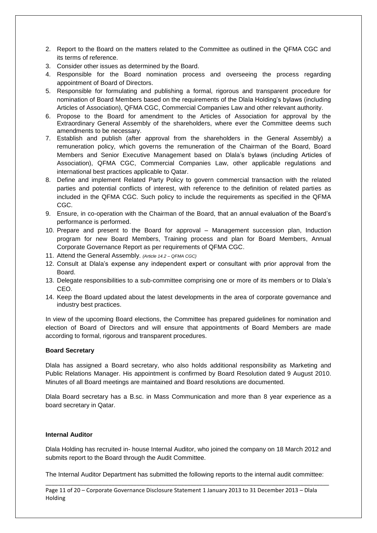- 2. Report to the Board on the matters related to the Committee as outlined in the QFMA CGC and its terms of reference.
- 3. Consider other issues as determined by the Board.
- 4. Responsible for the Board nomination process and overseeing the process regarding appointment of Board of Directors.
- 5. Responsible for formulating and publishing a formal, rigorous and transparent procedure for nomination of Board Members based on the requirements of the Dlala Holding's bylaws (including Articles of Association), QFMA CGC, Commercial Companies Law and other relevant authority.
- 6. Propose to the Board for amendment to the Articles of Association for approval by the Extraordinary General Assembly of the shareholders, where ever the Committee deems such amendments to be necessary.
- 7. Establish and publish (after approval from the shareholders in the General Assembly) a remuneration policy, which governs the remuneration of the Chairman of the Board, Board Members and Senior Executive Management based on Dlala's bylaws (including Articles of Association), QFMA CGC, Commercial Companies Law, other applicable regulations and international best practices applicable to Qatar.
- 8. Define and implement Related Party Policy to govern commercial transaction with the related parties and potential conflicts of interest, with reference to the definition of related parties as included in the QFMA CGC. Such policy to include the requirements as specified in the QFMA CGC.
- 9. Ensure, in co-operation with the Chairman of the Board, that an annual evaluation of the Board's performance is performed.
- 10. Prepare and present to the Board for approval Management succession plan, Induction program for new Board Members, Training process and plan for Board Members, Annual Corporate Governance Report as per requirements of QFMA CGC.
- 11. Attend the General Assembly. *(Article 14.2 – QFMA CGC)*
- 12. Consult at Dlala's expense any independent expert or consultant with prior approval from the Board.
- 13. Delegate responsibilities to a sub-committee comprising one or more of its members or to Dlala's CEO.
- 14. Keep the Board updated about the latest developments in the area of corporate governance and industry best practices.

In view of the upcoming Board elections, the Committee has prepared guidelines for nomination and election of Board of Directors and will ensure that appointments of Board Members are made according to formal, rigorous and transparent procedures.

#### **Board Secretary**

Dlala has assigned a Board secretary, who also holds additional responsibility as Marketing and Public Relations Manager. His appointment is confirmed by Board Resolution dated 9 August 2010. Minutes of all Board meetings are maintained and Board resolutions are documented.

Dlala Board secretary has a B.sc. in Mass Communication and more than 8 year experience as a board secretary in Qatar.

#### **Internal Auditor**

Dlala Holding has recruited in- house Internal Auditor, who joined the company on 18 March 2012 and submits report to the Board through the Audit Committee.

\_\_\_\_\_\_\_\_\_\_\_\_\_\_\_\_\_\_\_\_\_\_\_\_\_\_\_\_\_\_\_\_\_\_\_\_\_\_\_\_\_\_\_\_\_\_\_\_\_\_\_\_\_\_\_\_\_\_\_\_\_\_\_\_\_\_\_\_\_\_\_\_\_\_\_\_\_\_\_\_\_\_\_\_\_\_\_\_\_\_ The Internal Auditor Department has submitted the following reports to the internal audit committee:

Page 11 of 20 – Corporate Governance Disclosure Statement 1 January 2013 to 31 December 2013 – Dlala Holding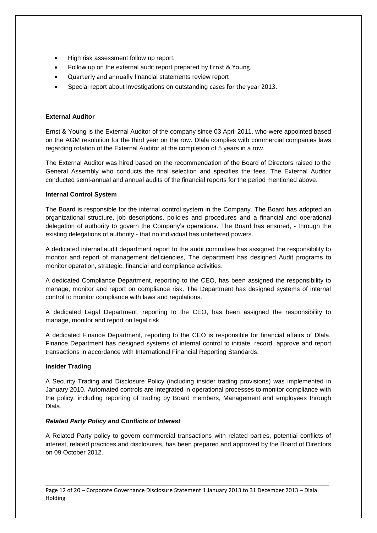- High risk assessment follow up report.
- Follow up on the external audit report prepared by Ernst & Young.
- Quarterly and annually financial statements review report
- Special report about investigations on outstanding cases for the year 2013.

#### **External Auditor**

Ernst & Young is the External Auditor of the company since 03 April 2011, who were appointed based on the AGM resolution for the third year on the row. Dlala complies with commercial companies laws regarding rotation of the External Auditor at the completion of 5 years in a row.

The External Auditor was hired based on the recommendation of the Board of Directors raised to the General Assembly who conducts the final selection and specifies the fees. The External Auditor conducted semi-annual and annual audits of the financial reports for the period mentioned above.

#### **Internal Control System**

The Board is responsible for the internal control system in the Company. The Board has adopted an organizational structure, job descriptions, policies and procedures and a financial and operational delegation of authority to govern the Company's operations. The Board has ensured, - through the existing delegations of authority - that no individual has unfettered powers.

A dedicated internal audit department report to the audit committee has assigned the responsibility to monitor and report of management deficiencies, The department has designed Audit programs to monitor operation, strategic, financial and compliance activities.

A dedicated Compliance Department, reporting to the CEO, has been assigned the responsibility to manage, monitor and report on compliance risk. The Department has designed systems of internal control to monitor compliance with laws and regulations.

A dedicated Legal Department, reporting to the CEO, has been assigned the responsibility to manage, monitor and report on legal risk.

A dedicated Finance Department, reporting to the CEO is responsible for financial affairs of Dlala. Finance Department has designed systems of internal control to initiate, record, approve and report transactions in accordance with International Financial Reporting Standards.

#### **Insider Trading**

A Security Trading and Disclosure Policy (including insider trading provisions) was implemented in January 2010. Automated controls are integrated in operational processes to monitor compliance with the policy, including reporting of trading by Board members, Management and employees through Dlala.

#### *Related Party Policy and Conflicts of Interest*

A Related Party policy to govern commercial transactions with related parties, potential conflicts of interest, related practices and disclosures, has been prepared and approved by the Board of Directors on 09 October 2012.

Page 12 of 20 – Corporate Governance Disclosure Statement 1 January 2013 to 31 December 2013 – Dlala Holding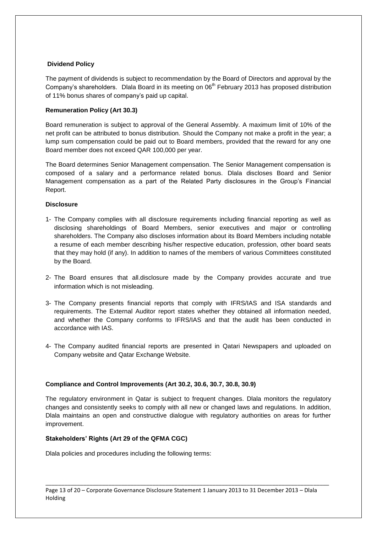#### **Dividend Policy**

The payment of dividends is subject to recommendation by the Board of Directors and approval by the Company's shareholders.Dlala Board in its meeting on 06th February 2013 has proposed distribution of 11% bonus shares of company's paid up capital.

#### **Remuneration Policy (Art 30.3)**

Board remuneration is subject to approval of the General Assembly. A maximum limit of 10% of the net profit can be attributed to bonus distribution. Should the Company not make a profit in the year; a lump sum compensation could be paid out to Board members, provided that the reward for any one Board member does not exceed QAR 100,000 per year.

The Board determines Senior Management compensation. The Senior Management compensation is composed of a salary and a performance related bonus. Dlala discloses Board and Senior Management compensation as a part of the Related Party disclosures in the Group's Financial Report.

#### **Disclosure**

- 1- The Company complies with all disclosure requirements including financial reporting as well as disclosing shareholdings of Board Members, senior executives and major or controlling shareholders. The Company also discloses information about its Board Members including notable a resume of each member describing his/her respective education, profession, other board seats that they may hold (if any). In addition to names of the members of various Committees constituted by the Board.
- 2- The Board ensures that all.disclosure made by the Company provides accurate and true information which is not misleading.
- 3- The Company presents financial reports that comply with IFRS/IAS and ISA standards and requirements. The External Auditor report states whether they obtained all information needed, and whether the Company conforms to IFRS/IAS and that the audit has been conducted in accordance with IAS.
- 4- The Company audited financial reports are presented in Qatari Newspapers and uploaded on Company website and Qatar Exchange Website.

#### **Compliance and Control Improvements (Art 30.2, 30.6, 30.7, 30.8, 30.9)**

The regulatory environment in Qatar is subject to frequent changes. Dlala monitors the regulatory changes and consistently seeks to comply with all new or changed laws and regulations. In addition, Dlala maintains an open and constructive dialogue with regulatory authorities on areas for further improvement.

#### **Stakeholders' Rights (Art 29 of the QFMA CGC)**

Dlala policies and procedures including the following terms: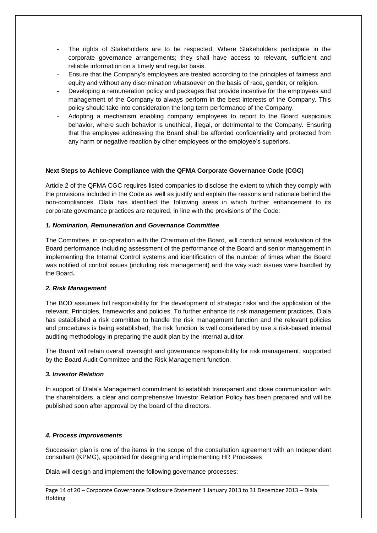- The rights of Stakeholders are to be respected. Where Stakeholders participate in the corporate governance arrangements; they shall have access to relevant, sufficient and reliable information on a timely and regular basis.
- Ensure that the Company's employees are treated according to the principles of fairness and equity and without any discrimination whatsoever on the basis of race, gender, or religion.
- Developing a remuneration policy and packages that provide incentive for the employees and management of the Company to always perform in the best interests of the Company. This policy should take into consideration the long term performance of the Company.
- Adopting a mechanism enabling company employees to report to the Board suspicious behavior, where such behavior is unethical, illegal, or detrimental to the Company. Ensuring that the employee addressing the Board shall be afforded confidentiality and protected from any harm or negative reaction by other employees or the employee's superiors.

#### **Next Steps to Achieve Compliance with the QFMA Corporate Governance Code (CGC)**

Article 2 of the QFMA CGC requires listed companies to disclose the extent to which they comply with the provisions included in the Code as well as justify and explain the reasons and rationale behind the non-compliances. Dlala has identified the following areas in which further enhancement to its corporate governance practices are required, in line with the provisions of the Code:

#### *1. Nomination, Remuneration and Governance Committee*

The Committee, in co-operation with the Chairman of the Board, will conduct annual evaluation of the Board performance including assessment of the performance of the Board and senior management in implementing the Internal Control systems and identification of the number of times when the Board was notified of control issues (including risk management) and the way such issues were handled by the Board**.** 

#### *2. Risk Management*

The BOD assumes full responsibility for the development of strategic risks and the application of the relevant, Principles, frameworks and policies. To further enhance its risk management practices, Dlala has established a risk committee to handle the risk management function and the relevant policies and procedures is being established; the risk function is well considered by use a risk-based internal auditing methodology in preparing the audit plan by the internal auditor.

The Board will retain overall oversight and governance responsibility for risk management, supported by the Board Audit Committee and the Risk Management function.

#### *3. Investor Relation*

In support of Dlala's Management commitment to establish transparent and close communication with the shareholders, a clear and comprehensive Investor Relation Policy has been prepared and will be published soon after approval by the board of the directors.

#### *4. Process improvements*

Succession plan is one of the items in the scope of the consultation agreement with an Independent consultant (KPMG), appointed for designing and implementing HR Processes

Dlala will design and implement the following governance processes:

Page 14 of 20 – Corporate Governance Disclosure Statement 1 January 2013 to 31 December 2013 – Dlala Holding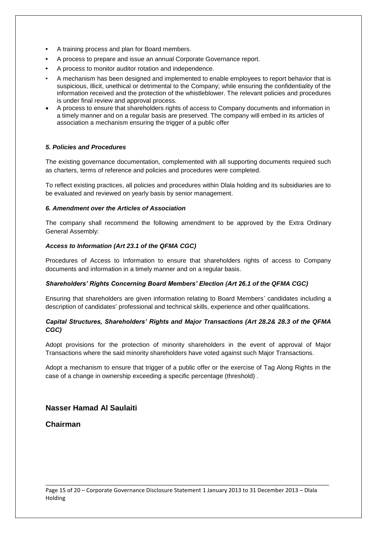- **•** A training process and plan for Board members.
- **•** A process to prepare and issue an annual Corporate Governance report.
- **•** A process to monitor auditor rotation and independence.
- A mechanism has been designed and implemented to enable employees to report behavior that is suspicious, illicit, unethical or detrimental to the Company; while ensuring the confidentiality of the information received and the protection of the whistleblower. The relevant policies and procedures is under final review and approval process.
- A process to ensure that shareholders rights of access to Company documents and information in a timely manner and on a regular basis are preserved. The company will embed in its articles of association a mechanism ensuring the trigger of a public offer

#### *5. Policies and Procedures*

The existing governance documentation, complemented with all supporting documents required such as charters, terms of reference and policies and procedures were completed.

To reflect existing practices, all policies and procedures within Dlala holding and its subsidiaries are to be evaluated and reviewed on yearly basis by senior management.

#### *6. Amendment over the Articles of Association*

The company shall recommend the following amendment to be approved by the Extra Ordinary General Assembly:

#### *Access to Information (Art 23.1 of the QFMA CGC)*

Procedures of Access to Information to ensure that shareholders rights of access to Company documents and information in a timely manner and on a regular basis.

#### *Shareholders' Rights Concerning Board Members' Election (Art 26.1 of the QFMA CGC)*

Ensuring that shareholders are given information relating to Board Members' candidates including a description of candidates' professional and technical skills, experience and other qualifications.

#### *Capital Structures, Shareholders' Rights and Major Transactions (Art 28.2& 28.3 of the QFMA CGC)*

Adopt provisions for the protection of minority shareholders in the event of approval of Major Transactions where the said minority shareholders have voted against such Major Transactions.

Adopt a mechanism to ensure that trigger of a public offer or the exercise of Tag Along Rights in the case of a change in ownership exceeding a specific percentage (threshold) .

#### **Nasser Hamad Al Saulaiti**

#### **Chairman**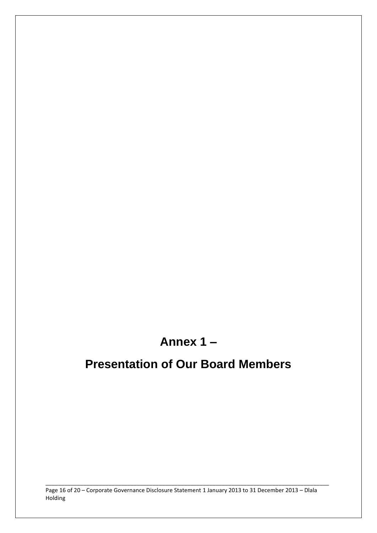## **Annex 1 –**

## **Presentation of Our Board Members**

Page 16 of 20 – Corporate Governance Disclosure Statement 1 January 2013 to 31 December 2013 – Dlala Holding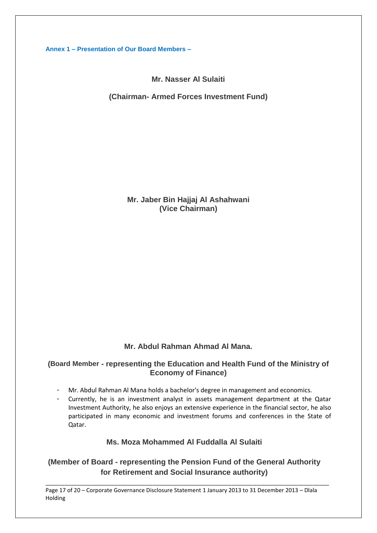**Annex 1 – Presentation of Our Board Members –**

**Mr. Nasser Al Sulaiti**

**(Chairman- Armed Forces Investment Fund)**

**Mr. Jaber Bin Hajjaj Al Ashahwani (Vice Chairman)**

## **Mr. Abdul Rahman Ahmad Al Mana.**

### **(Board Member - representing the Education and Health Fund of the Ministry of Economy of Finance)**

- Mr. Abdul Rahman Al Mana holds a bachelor's degree in management and economics.
- Currently, he is an investment analyst in assets management department at the Qatar Investment Authority, he also enjoys an extensive experience in the financial sector, he also participated in many economic and investment forums and conferences in the State of Qatar.

### **Ms. Moza Mohammed Al Fuddalla Al Sulaiti**

## **(Member of Board - representing the Pension Fund of the General Authority for Retirement and Social Insurance authority)**

\_\_\_\_\_\_\_\_\_\_\_\_\_\_\_\_\_\_\_\_\_\_\_\_\_\_\_\_\_\_\_\_\_\_\_\_\_\_\_\_\_\_\_\_\_\_\_\_\_\_\_\_\_\_\_\_\_\_\_\_\_\_\_\_\_\_\_\_\_\_\_\_\_\_\_\_\_\_\_\_\_\_\_\_\_\_\_\_\_\_

Page 17 of 20 – Corporate Governance Disclosure Statement 1 January 2013 to 31 December 2013 – Dlala Holding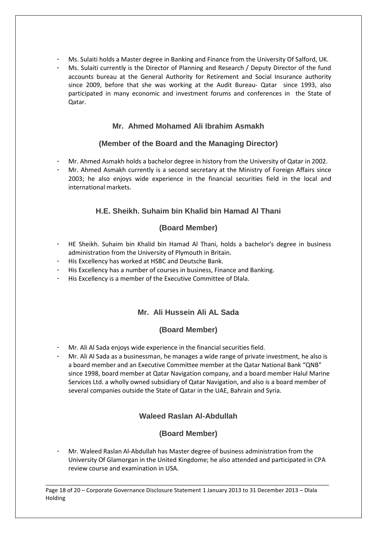- Ms. Sulaiti holds a Master degree in Banking and Finance from the University Of Salford, UK.
- Ms. Sulaiti currently is the Director of Planning and Research / Deputy Director of the fund accounts bureau at the General Authority for Retirement and Social Insurance authority since 2009, before that she was working at the Audit Bureau- Qatar since 1993, also participated in many economic and investment forums and conferences in the State of Qatar.

## **Mr. Ahmed Mohamed Ali Ibrahim Asmakh**

## **(Member of the Board and the Managing Director)**

- Mr. Ahmed Asmakh holds a bachelor degree in history from the University of Qatar in 2002.
- Mr. Ahmed Asmakh currently is a second secretary at the Ministry of Foreign Affairs since 2003; he also enjoys wide experience in the financial securities field in the local and international markets.

## **H.E. Sheikh. Suhaim bin Khalid bin Hamad Al Thani**

## **(Board Member)**

- HE Sheikh. Suhaim bin Khalid bin Hamad Al Thani, holds a bachelor's degree in business administration from the University of Plymouth in Britain.
- His Excellency has worked at HSBC and Deutsche Bank.
- His Excellency has a number of courses in business, Finance and Banking.
- His Excellency is a member of the Executive Committee of Dlala.

## **Mr. Ali Hussein Ali AL Sada**

## **(Board Member)**

- Mr. Ali Al Sada enjoys wide experience in the financial securities field.
- Mr. Ali Al Sada as a businessman, he manages a wide range of private investment, he also is a board member and an Executive Committee member at the Qatar National Bank "QNB" since 1998, board member at Qatar Navigation company, and a board member Halul Marine Services Ltd. a wholly owned subsidiary of Qatar Navigation, and also is a board member of several companies outside the State of Qatar in the UAE, Bahrain and Syria.

## **Waleed Raslan Al-Abdullah**

## **(Board Member)**

- Mr. Waleed Raslan Al-Abdullah has Master degree of business administration from the University Of Glamorgan in the United Kingdome; he also attended and participated in CPA review course and examination in USA.

\_\_\_\_\_\_\_\_\_\_\_\_\_\_\_\_\_\_\_\_\_\_\_\_\_\_\_\_\_\_\_\_\_\_\_\_\_\_\_\_\_\_\_\_\_\_\_\_\_\_\_\_\_\_\_\_\_\_\_\_\_\_\_\_\_\_\_\_\_\_\_\_\_\_\_\_\_\_\_\_\_\_\_\_\_\_\_\_\_\_ Page 18 of 20 – Corporate Governance Disclosure Statement 1 January 2013 to 31 December 2013 – Dlala Holding